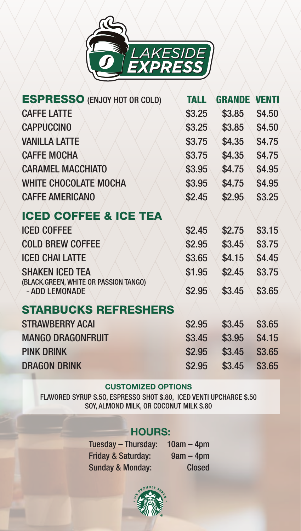

| <b>ESPRESSO (ENJOY HOT OR COLD)</b>                             | <b>TALL</b> | <b>GRANDE</b> | <b>VENTI</b> |
|-----------------------------------------------------------------|-------------|---------------|--------------|
| <b>CAFFE LATTE</b>                                              | \$3.25      | \$3.85        | \$4.50       |
| <b>CAPPUCCINO</b>                                               | \$3.25      | \$3.85        | \$4.50       |
| <b>VANILLA LATTE</b>                                            | \$3.75      | \$4.35        | \$4.75       |
| <b>CAFFE MOCHA</b>                                              | \$3.75      | \$4.35        | \$4.75       |
| <b>CARAMEL MACCHIATO</b>                                        | \$3.95      | \$4.75        | \$4.95       |
| <b>WHITE CHOCOLATE MOCHA</b>                                    | \$3.95      | \$4.75        | \$4.95       |
| <b>CAFFE AMERICANO</b>                                          | \$2.45      | \$2.95        | \$3.25       |
| <b>ICED COFFEE &amp; ICE TEA</b>                                |             |               |              |
| <b>ICED COFFEE</b>                                              | \$2.45      | \$2.75        | \$3.15       |
| <b>COLD BREW COFFEE</b>                                         | \$2.95      | \$3.45        | \$3.75       |
| <b>ICED CHAI LATTE</b>                                          | \$3.65      | \$4.15        | \$4.45       |
| <b>SHAKEN ICED TEA</b><br>(BLACK.GREEN, WHITE OR PASSION TANGO) | \$1.95      | \$2.45        | \$3.75       |
| - ADD LEMONADE                                                  | \$2.95      | \$3.45        | \$3.65       |
| <b>STARBUCKS REFRESHERS</b>                                     |             |               |              |
| <b>STRAWBERRY ACAI</b>                                          | \$2.95      | \$3.45        | \$3.65       |
| <b>MANGO DRAGONFRUIT</b>                                        | \$3.45      | \$3.95        | \$4.15       |
| <b>PINK DRINK</b>                                               | \$2.95      | \$3.45        | \$3.65       |
| <b>DRAGON DRINK</b>                                             | \$2.95      | \$3.45        | \$3.65       |
|                                                                 |             |               |              |

#### **CUSTOMIZED OPTIONS**

FLAVORED SYRUP \$.5O, ESPRESSO SHOT \$.80, ICED VENTI UPCHARGE \$.50 SOY, ALMOND MILK, OR COCONUT MILK \$.80

## **HOURS:**

Tuesday – Thursday: 10am – 4pm<br>Friday & Saturday: 9am – 4pm Friday & Saturday: Sunday & Monday: Closed

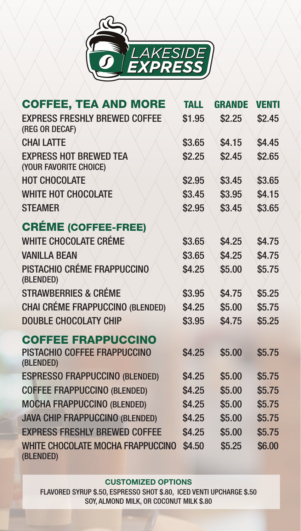

| <b>COFFEE, TEA AND MORE</b>                             | <b>TALL</b> | <b>GRANDE</b> | <b>VENTI</b> |
|---------------------------------------------------------|-------------|---------------|--------------|
| <b>EXPRESS FRESHLY BREWED COFFEE</b><br>(REG OR DECAF)  | \$1.95      | \$2.25        | \$2.45       |
| <b>CHAI LATTE</b>                                       | \$3.65      | \$4.15        | \$4.45       |
| <b>EXPRESS HOT BREWED TEA</b><br>(YOUR FAVORITE CHOICE) | \$2.25      | \$2.45        | \$2.65       |
| <b>HOT CHOCOLATE</b>                                    | \$2.95      | \$3.45        | \$3.65       |
| <b>WHITE HOT CHOCOLATE</b>                              | \$3.45      | \$3.95        | \$4.15       |
| <b>STEAMER</b>                                          | \$2.95      | \$3.45        | \$3.65       |
| <b>CRÉME (COFFEE-FREE)</b>                              |             |               |              |
| <b>WHITE CHOCOLATE CRÉME</b>                            | \$3.65      | \$4.25        | \$4.75       |
| <b>VANILLA BEAN</b>                                     | \$3.65      | \$4.25        | \$4.75       |
| PISTACHIO CRÉME FRAPPUCCINO<br>(BLENDED)                | \$4.25      | \$5.00        | \$5.75       |
| <b>STRAWBERRIES &amp; CRÉME</b>                         | \$3.95      | \$4.75        | \$5.25       |
| <b>CHAI CRÉME FRAPPUCCINO (BLENDED)</b>                 | \$4.25      | \$5.00        | \$5.75       |
| <b>DOUBLE CHOCOLATY CHIP</b>                            | \$3.95      | \$4.75        | \$5.25       |
| <b>COFFEE FRAPPUCCINO</b>                               |             |               |              |
| PISTACHIO COFFEE FRAPPUCCINO<br>(BLENDED)               | \$4.25      | \$5.00        | \$5.75       |
| <b>ESPRESSO FRAPPUCCINO (BLENDED)</b>                   | \$4.25      | \$5.00        | \$5.75       |
| <b>COFFEE FRAPPUCCINO (BLENDED)</b>                     | \$4.25      | \$5.00        | \$5.75       |
| <b>MOCHA FRAPPUCCINO (BLENDED)</b>                      | \$4.25      | \$5.00        | \$5.75       |
| <b>JAVA CHIP FRAPPUCCINO (BLENDED)</b>                  | \$4.25      | \$5.00        | \$5.75       |
| <b>EXPRESS FRESHLY BREWED COFFEE</b>                    | \$4.25      | \$5.00        | \$5.75       |
| <b>WHITE CHOCOLATE MOCHA FRAPPUCCINO</b><br>(BLENDED)   | \$4.50      | \$5.25        | \$6.00       |

#### **CUSTOMIZED OPTIONS**

FLAVORED SYRUP \$.5O, ESPRESSO SHOT \$.80, ICED VENTI UPCHARGE \$.50 SOY, ALMOND MILK, OR COCONUT MILK \$.80